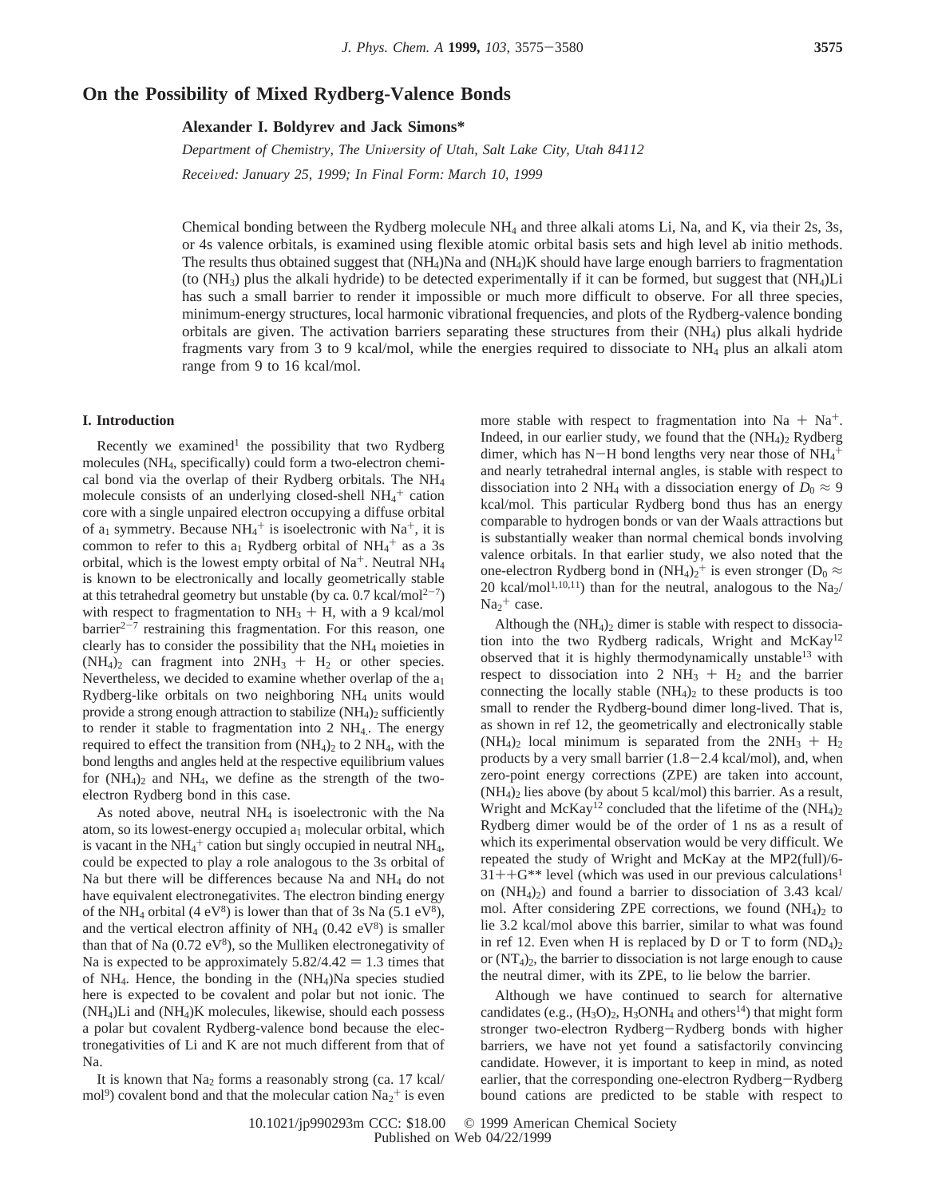# **On the Possibility of Mixed Rydberg-Valence Bonds**

**Alexander I. Boldyrev and Jack Simons\***

*Department of Chemistry, The Uni*V*ersity of Utah, Salt Lake City, Utah 84112 Recei*V*ed: January 25, 1999; In Final Form: March 10, 1999*

Chemical bonding between the Rydberg molecule NH4 and three alkali atoms Li, Na, and K, via their 2s, 3s, or 4s valence orbitals, is examined using flexible atomic orbital basis sets and high level ab initio methods. The results thus obtained suggest that (NH4)Na and (NH4)K should have large enough barriers to fragmentation (to  $(NH_3)$  plus the alkali hydride) to be detected experimentally if it can be formed, but suggest that  $(NH_4)Li$ has such a small barrier to render it impossible or much more difficult to observe. For all three species, minimum-energy structures, local harmonic vibrational frequencies, and plots of the Rydberg-valence bonding orbitals are given. The activation barriers separating these structures from their (NH4) plus alkali hydride fragments vary from 3 to 9 kcal/mol, while the energies required to dissociate to NH4 plus an alkali atom range from 9 to 16 kcal/mol.

## **I. Introduction**

Recently we examined<sup>1</sup> the possibility that two Rydberg molecules (NH4, specifically) could form a two-electron chemical bond via the overlap of their Rydberg orbitals. The  $NH<sub>4</sub>$ molecule consists of an underlying closed-shell  $NH_4^+$  cation core with a single unpaired electron occupying a diffuse orbital of  $a_1$  symmetry. Because  $NH_4^+$  is isoelectronic with  $Na^+$ , it is common to refer to this  $a_1$  Rydberg orbital of  $NH_4^+$  as a 3s orbital, which is the lowest empty orbital of  $Na^+$ . Neutral NH<sub>4</sub> is known to be electronically and locally geometrically stable at this tetrahedral geometry but unstable (by ca. 0.7 kcal/mol<sup>2-7</sup>) with respect to fragmentation to  $NH<sub>3</sub> + H$ , with a 9 kcal/mol  $barrier<sup>2-7</sup>$  restraining this fragmentation. For this reason, one clearly has to consider the possibility that the NH4 moieties in  $(NH_4)_2$  can fragment into  $2NH_3 + H_2$  or other species. Nevertheless, we decided to examine whether overlap of the  $a_1$ Rydberg-like orbitals on two neighboring NH4 units would provide a strong enough attraction to stabilize  $(NH_4)$ <sub>2</sub> sufficiently to render it stable to fragmentation into 2 NH4.. The energy required to effect the transition from  $(NH<sub>4</sub>)<sub>2</sub>$  to 2 NH<sub>4</sub>, with the bond lengths and angles held at the respective equilibrium values for  $(NH_4)$  and  $NH_4$ , we define as the strength of the twoelectron Rydberg bond in this case.

As noted above, neutral  $NH<sub>4</sub>$  is isoelectronic with the Na atom, so its lowest-energy occupied  $a_1$  molecular orbital, which is vacant in the  $NH_4^+$  cation but singly occupied in neutral NH<sub>4</sub>, could be expected to play a role analogous to the 3s orbital of Na but there will be differences because Na and NH4 do not have equivalent electronegativites. The electron binding energy of the NH<sub>4</sub> orbital (4 eV<sup>8</sup>) is lower than that of 3s Na (5.1 eV<sup>8</sup>), and the vertical electron affinity of  $NH<sub>4</sub>$  (0.42 eV<sup>8</sup>) is smaller than that of Na  $(0.72 \text{ eV}^8)$ , so the Mulliken electronegativity of Na is expected to be approximately  $5.82/4.42 = 1.3$  times that of  $NH_4$ . Hence, the bonding in the  $(NH_4)Na$  species studied here is expected to be covalent and polar but not ionic. The (NH4)Li and (NH4)K molecules, likewise, should each possess a polar but covalent Rydberg-valence bond because the electronegativities of Li and K are not much different from that of Na.

It is known that  $Na<sub>2</sub>$  forms a reasonably strong (ca. 17 kcal/  $\text{mol}^9$ ) covalent bond and that the molecular cation  $\text{Na}_2^+$  is even

more stable with respect to fragmentation into  $Na + Na^{+}$ . Indeed, in our earlier study, we found that the  $(NH_4)_2$  Rydberg dimer, which has  $N-H$  bond lengths very near those of  $NH_4^+$ <br>and nearly tetrahedral internal angles is stable with respect to and nearly tetrahedral internal angles, is stable with respect to dissociation into 2 NH<sub>4</sub> with a dissociation energy of  $D_0 \approx 9$ kcal/mol. This particular Rydberg bond thus has an energy comparable to hydrogen bonds or van der Waals attractions but is substantially weaker than normal chemical bonds involving valence orbitals. In that earlier study, we also noted that the one-electron Rydberg bond in  $(NH_4)_2^+$  is even stronger ( $D_0 \approx$ 20 kcal/mol<sup>1,10,11</sup>) than for the neutral, analogous to the Na<sub>2</sub>/  $Na<sub>2</sub><sup>+</sup> case.$ 

Although the  $(NH<sub>4</sub>)<sub>2</sub>$  dimer is stable with respect to dissociation into the two Rydberg radicals, Wright and McKay<sup>12</sup> observed that it is highly thermodynamically unstable13 with respect to dissociation into 2  $NH<sub>3</sub> + H<sub>2</sub>$  and the barrier connecting the locally stable  $(NH<sub>4</sub>)<sub>2</sub>$  to these products is too small to render the Rydberg-bound dimer long-lived. That is, as shown in ref 12, the geometrically and electronically stable  $(NH_4)_2$  local minimum is separated from the  $2NH_3 + H_2$ products by a very small barrier  $(1.8-2.4 \text{ kcal/mol})$ , and, when zero-point energy corrections (ZPE) are taken into account,  $(NH<sub>4</sub>)<sub>2</sub>$  lies above (by about 5 kcal/mol) this barrier. As a result, Wright and McKay<sup>12</sup> concluded that the lifetime of the  $(NH_4)_2$ Rydberg dimer would be of the order of 1 ns as a result of which its experimental observation would be very difficult. We repeated the study of Wright and McKay at the MP2(full)/6-  $31++G^{**}$  level (which was used in our previous calculations<sup>1</sup> on  $(NH_4)_2$ ) and found a barrier to dissociation of 3.43 kcal/ mol. After considering ZPE corrections, we found  $(NH<sub>4</sub>)<sub>2</sub>$  to lie 3.2 kcal/mol above this barrier, similar to what was found in ref 12. Even when H is replaced by D or T to form  $(ND_4)_2$ or  $(NT<sub>4</sub>)<sub>2</sub>$ , the barrier to dissociation is not large enough to cause the neutral dimer, with its ZPE, to lie below the barrier.

Although we have continued to search for alternative candidates (e.g.,  $(H_3O)_2$ ,  $H_3ONH_4$  and others<sup>14</sup>) that might form stronger two-electron Rydberg-Rydberg bonds with higher barriers, we have not yet found a satisfactorily convincing candidate. However, it is important to keep in mind, as noted earlier, that the corresponding one-electron Rydberg-Rydberg bound cations are predicted to be stable with respect to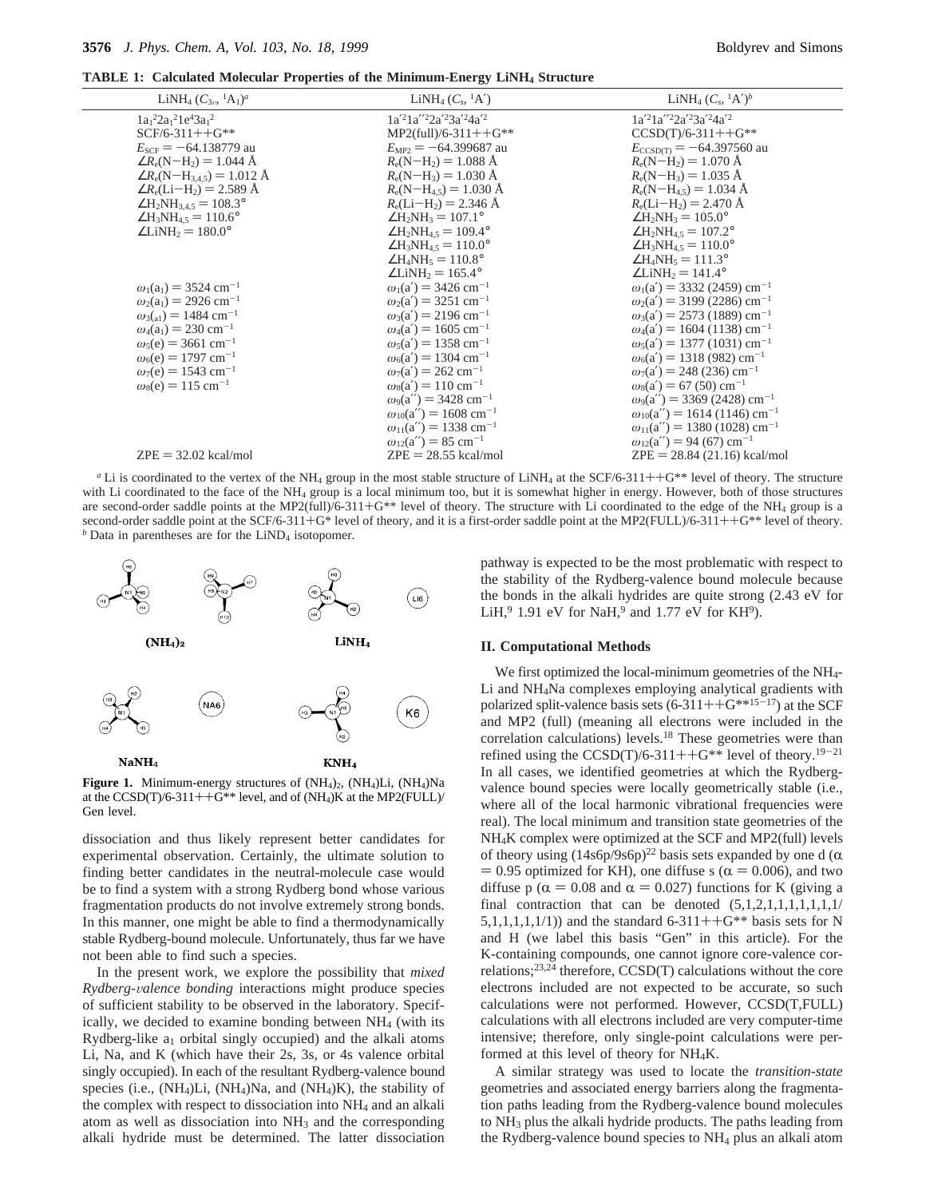**TABLE 1: Calculated Molecular Properties of the Minimum-Energy LiNH<sub>4</sub> Structure** 

| LiNH <sub>4</sub> $(C_{3\nu}$ , <sup>1</sup> A <sub>1</sub> $)^a$ | LiNH <sub>4</sub> $(C_s, {}^1A')$          | LiNH <sub>4</sub> $(C_s, {}^1A')^b$               |
|-------------------------------------------------------------------|--------------------------------------------|---------------------------------------------------|
| $1a_1^22a_1^21e^43a_1^2$                                          | $1a'^21a''^22a'^23a'^24a'^2$               | $1a'^21a''^22a'^23a'^24a'^2$                      |
| $SCF/6-311++G**$                                                  | $MP2$ (full)/6-311++G**                    | $CCSD(T)/6-311++G**$                              |
| $E_{SCF}$ = -64.138779 au                                         | $E_{MP2} = -64.399687$ au                  | $E_{CCSD(T)} = -64.397560$ au                     |
| $\angle R_e(N-H_2) = 1.044 \text{ Å}$                             | $R_e(N-H_2) = 1.088 \text{ Å}$             | $R_e(N-H_2) = 1.070 \text{ Å}$                    |
| $\angle R_e(N-H_{3.45}) = 1.012 \text{ Å}$                        | $R_e(N-H_3) = 1.030 \text{ Å}$             | $R_e(N-H_3) = 1.035 \text{ Å}$                    |
| $\angle R_e$ (Li-H <sub>2</sub> ) = 2.589 Å                       | $R_e(N-H_{4,5}) = 1.030 \text{ Å}$         | $R_e(N-H_{4.5}) = 1.034$ Å                        |
| $\angle H_2NH_{3,4.5} = 108.3^\circ$                              | $R_e(Li-H_2) = 2.346 \text{ Å}$            | $R_e(Li-H_2) = 2.470 \text{ Å}$                   |
| $\angle H_3NH_{4.5} = 110.6^\circ$                                | $\angle H_2NH_3 = 107.1^\circ$             | $\angle H_2NH_3 = 105.0^\circ$                    |
| $\angle$ LiNH <sub>2</sub> = 180.0°                               | $\angle H_2NH_4$ s = 109.4°                | $\angle H_2NH_4$ <sub>5</sub> = 107.2°            |
|                                                                   | $\angle H_3NH_{4.5} = 110.0^\circ$         | $\angle H_3NH_{4.5} = 110.0^\circ$                |
|                                                                   | $\angle H_4NH_5 = 110.8^\circ$             | $\angle H_4NH_5 = 111.3^\circ$                    |
|                                                                   | $\angle$ LiNH <sub>2</sub> = 165.4°        | $\angle$ LiNH <sub>2</sub> = 141.4°               |
| $\omega_1(a_1) = 3524$ cm <sup>-1</sup>                           | $\omega_1(a') = 3426$ cm <sup>-1</sup>     | $\omega_1(a') = 3332$ (2459) cm <sup>-1</sup>     |
| $\omega_2(a_1) = 2926$ cm <sup>-1</sup>                           | $\omega_2$ (a') = 3251 cm <sup>-1</sup>    | $\omega_2$ (a') = 3199 (2286) cm <sup>-1</sup>    |
| $\omega_3({}_{\rm al}) = 1484 \text{ cm}^{-1}$                    | $\omega_3(a') = 2196$ cm <sup>-1</sup>     | $\omega_3(a') = 2573$ (1889) cm <sup>-1</sup>     |
| $\omega_4(a_1) = 230 \text{ cm}^{-1}$                             | $\omega_4(a') = 1605$ cm <sup>-1</sup>     | $\omega_4(a') = 1604 (1138) \text{ cm}^{-1}$      |
| $\omega_5(e) = 3661$ cm <sup>-1</sup>                             | $\omega_5(a') = 1358$ cm <sup>-1</sup>     | $\omega_5(a') = 1377(1031)$ cm <sup>-1</sup>      |
| $\omega_6(e) = 1797$ cm <sup>-1</sup>                             | $\omega_6(a') = 1304$ cm <sup>-1</sup>     | $\omega_6(a') = 1318(982)$ cm <sup>-1</sup>       |
| $\omega_7(e) = 1543$ cm <sup>-1</sup>                             | $\omega_7(a') = 262$ cm <sup>-1</sup>      | $\omega_7(a') = 248 (236) \text{ cm}^{-1}$        |
| $\omega_8(e) = 115$ cm <sup>-1</sup>                              | $\omega_8(a') = 110 \text{ cm}^{-1}$       | $\omega_8(a') = 67 (50) \text{ cm}^{-1}$          |
|                                                                   | $\omega_9(a'') = 3428$ cm <sup>-1</sup>    | $\omega_9(a'') = 3369 (2428) \text{ cm}^{-1}$     |
|                                                                   | $\omega_{10}(a'') = 1608$ cm <sup>-1</sup> | $\omega_{10}(a'') = 1614 (1146) \text{ cm}^{-1}$  |
|                                                                   | $\omega_{11}(a'') = 1338$ cm <sup>-1</sup> | $\omega_{11}(a'') = 1380$ (1028) cm <sup>-1</sup> |
|                                                                   | $\omega_{12}(a'') = 85$ cm <sup>-1</sup>   | $\omega_{12}(a'') = 94(67) \text{ cm}^{-1}$       |
| $ZPE = 32.02$ kcal/mol                                            | $ZPE = 28.55$ kcal/mol                     | $ZPE = 28.84 (21.16)$ kcal/mol                    |
|                                                                   |                                            |                                                   |

*a* Li is coordinated to the vertex of the NH<sub>4</sub> group in the most stable structure of LiNH<sub>4</sub> at the SCF/6-311++G<sup>\*\*</sup> level of theory. The structure with Li coordinated to the face of the NH<sub>4</sub> group is a local minimum too, but it is somewhat higher in energy. However, both of those structures are second-order saddle points at the MP2(full)/6-311+G<sup>\*\*</sup> level of theory. The structure with Li coordinated to the edge of the NH<sub>4</sub> group is a second-order saddle point at the SCF/6-311+G\* level of theory, and it is a first-order saddle point at the MP2(FULL)/6-311++G\*\* level of theory. *b* Data in parentheses are for the LiND<sub>4</sub> isotopomer.



Figure 1. Minimum-energy structures of  $(NH<sub>4</sub>)<sub>2</sub>$ ,  $(NH<sub>4</sub>)Li$ ,  $(NH<sub>4</sub>)Na$ at the  $CCSD(T)/6-311++G^{**}$  level, and of  $(NH_4)K$  at the MP2(FULL)/<br>Gen-level Gen level.

dissociation and thus likely represent better candidates for experimental observation. Certainly, the ultimate solution to finding better candidates in the neutral-molecule case would be to find a system with a strong Rydberg bond whose various fragmentation products do not involve extremely strong bonds. In this manner, one might be able to find a thermodynamically stable Rydberg-bound molecule. Unfortunately, thus far we have not been able to find such a species.

In the present work, we explore the possibility that *mixed Rydberg-*V*alence bonding* interactions might produce species of sufficient stability to be observed in the laboratory. Specifically, we decided to examine bonding between NH<sub>4</sub> (with its Rydberg-like  $a_1$  orbital singly occupied) and the alkali atoms Li, Na, and K (which have their 2s, 3s, or 4s valence orbital singly occupied). In each of the resultant Rydberg-valence bound species (i.e.,  $(NH<sub>4</sub>)Li$ ,  $(NH<sub>4</sub>)Na$ , and  $(NH<sub>4</sub>)K$ ), the stability of the complex with respect to dissociation into NH4 and an alkali atom as well as dissociation into  $NH<sub>3</sub>$  and the corresponding alkali hydride must be determined. The latter dissociation pathway is expected to be the most problematic with respect to the stability of the Rydberg-valence bound molecule because the bonds in the alkali hydrides are quite strong (2.43 eV for LiH,  $9$  1.91 eV for NaH,  $9$  and 1.77 eV for KH $9$ ).

### **II. Computational Methods**

We first optimized the local-minimum geometries of the NH<sub>4</sub>-Li and NH4Na complexes employing analytical gradients with polarized split-valence basis sets  $(6-311++G^{*+15-17})$  at the SCF and MP2 (full) (meaning all electrons were included in the correlation calculations) levels.<sup>18</sup> These geometries were than refined using the  $CCSD(T)/6-311++G^{**}$  level of theory.<sup>19-21</sup> In all cases, we identified geometries at which the Rydbergvalence bound species were locally geometrically stable (i.e., where all of the local harmonic vibrational frequencies were real). The local minimum and transition state geometries of the NH4K complex were optimized at the SCF and MP2(full) levels of theory using  $(14s6p/9s6p)^{22}$  basis sets expanded by one d ( $\alpha$ )  $= 0.95$  optimized for KH), one diffuse s ( $\alpha = 0.006$ ), and two diffuse p ( $\alpha$  = 0.08 and  $\alpha$  = 0.027) functions for K (giving a final contraction that can be denoted  $(5,1,2,1,1,1,1,1,1,1)$ 5,1,1,1,1,1/1)) and the standard 6-311++ $G^{**}$  basis sets for N and H (we label this basis "Gen" in this article). For the K-containing compounds, one cannot ignore core-valence correlations;23,24 therefore, CCSD(T) calculations without the core electrons included are not expected to be accurate, so such calculations were not performed. However, CCSD(T,FULL) calculations with all electrons included are very computer-time intensive; therefore, only single-point calculations were performed at this level of theory for NH4K.

A similar strategy was used to locate the *transition-state* geometries and associated energy barriers along the fragmentation paths leading from the Rydberg-valence bound molecules to NH3 plus the alkali hydride products. The paths leading from the Rydberg-valence bound species to NH4 plus an alkali atom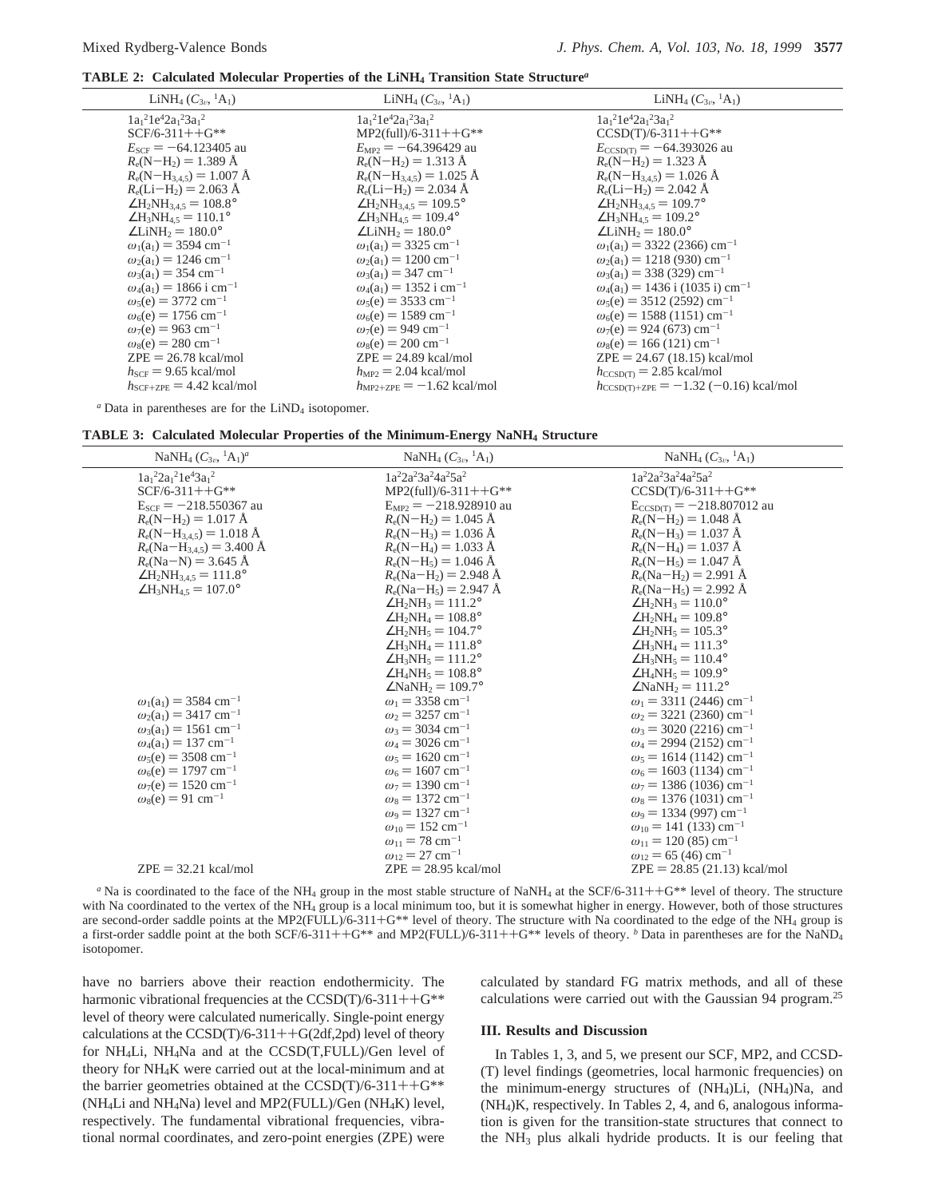**TABLE 2: Calculated Molecular Properties of the LiNH4 Transition State Structure***<sup>a</sup>*

| LiNH <sub>4</sub> $(C_{3n}, {}^{1}A_1)$      | LiNH <sub>4</sub> $(C_{3\nu}$ , <sup>1</sup> A <sub>1</sub> ) | LiNH <sub>4</sub> $(C_{3v}$ , <sup>1</sup> A <sub>1</sub> ) |
|----------------------------------------------|---------------------------------------------------------------|-------------------------------------------------------------|
| $1a_1{}^21e^42a_1{}^23a_1{}^2$               | $1a_1{}^21e^42a_1{}^23a_1{}^2$                                | $1a_1{}^21e^42a_1{}^23a_1{}^2$                              |
| $SCF/6-311++G**$                             | $MP2$ (full)/6-311++G**                                       | $CCSD(T)/6-311++G**$                                        |
| $E_{SCF}$ = -64.123405 au                    | $E_{\text{MP2}} = -64.396429$ au                              | $E_{\text{CCSD(T)}} = -64.393026$ au                        |
| $R_e(N-H_2) = 1.389 \text{ Å}$               | $R_e(N-H_2) = 1.313 \text{ Å}$                                | $R_e(N-H_2) = 1.323 \text{ Å}$                              |
| $R_e(N-H_{3.4.5}) = 1.007 \text{ Å}$         | $R_e(N-H_{3,4,5}) = 1.025 \text{ Å}$                          | $R_e(N-H_{3.4.5}) = 1.026 \text{ Å}$                        |
| $R_e(Li-H_2) = 2.063 \text{ Å}$              | $R_e(Li-H_2) = 2.034$ Å                                       | $R_e(Li-H_2) = 2.042$ Å                                     |
| $\angle H_2NH_{3,4.5}=108.8^\circ$           | $\angle H_2NH_{3.4.5} = 109.5^\circ$                          | $\angle H_2NH_{3.4.5}=109.7^\circ$                          |
| $\angle H_3NH_4$ <sub>5</sub> = 110.1°       | $\angle H_3NH_4$ s = 109.4°                                   | $\angle H_3NH_4$ s = 109.2°                                 |
| $\angle$ LiNH <sub>2</sub> = 180.0°          | $\angle$ LiNH <sub>2</sub> = 180.0°                           | $\angle$ LiNH <sub>2</sub> = 180.0°                         |
| $\omega_1(a_1) = 3594$ cm <sup>-1</sup>      | $\omega_1(a_1) = 3325$ cm <sup>-1</sup>                       | $\omega_1(a_1) = 3322$ (2366) cm <sup>-1</sup>              |
| $\omega_2(a_1) = 1246$ cm <sup>-1</sup>      | $\omega_2(a_1) = 1200$ cm <sup>-1</sup>                       | $\omega_2(a_1) = 1218(930)$ cm <sup>-1</sup>                |
| $\omega_3(a_1) = 354$ cm <sup>-1</sup>       | $\omega_3(a_1) = 347$ cm <sup>-1</sup>                        | $\omega_3(a_1) = 338(329)$ cm <sup>-1</sup>                 |
| $\omega_4(a_1) = 1866$ i cm <sup>-1</sup>    | $\omega_4(a_1) = 1352$ i cm <sup>-1</sup>                     | $\omega_4(a_1) = 1436$ i (1035 i) cm <sup>-1</sup>          |
| $\omega_5(e) = 3772$ cm <sup>-1</sup>        | $\omega_5(e) = 3533$ cm <sup>-1</sup>                         | $\omega_5(e) = 3512(2592)$ cm <sup>-1</sup>                 |
| $\omega_6(e) = 1756$ cm <sup>-1</sup>        | $\omega_6(e) = 1589$ cm <sup>-1</sup>                         | $\omega_6(e) = 1588(1151)$ cm <sup>-1</sup>                 |
| $\omega_7(e) = 963$ cm <sup>-1</sup>         | $\omega_7(e) = 949$ cm <sup>-1</sup>                          | $\omega_7(e) = 924(673)$ cm <sup>-1</sup>                   |
| $\omega_8(e) = 280$ cm <sup>-1</sup>         | $\omega_s(e) = 200 \text{ cm}^{-1}$                           | $\omega_8(e) = 166 (121) \text{ cm}^{-1}$                   |
| $ZPE = 26.78$ kcal/mol                       | $ZPE = 24.89$ kcal/mol                                        | $ZPE = 24.67 (18.15)$ kcal/mol                              |
| $h_{SCF}$ = 9.65 kcal/mol                    | $h_{\text{MP2}} = 2.04$ kcal/mol                              | $h_{\text{CCSD/T}} = 2.85 \text{ kcal/mol}$                 |
| $h_{\text{SCF+ZPE}} = 4.42 \text{ kcal/mol}$ | $h_{\text{MP2+ZPE}} = -1.62 \text{ kcal/mol}$                 | $h_{\text{CCSD(T)}+ZPE} = -1.32 (-0.16) \text{ kcal/mol}$   |

*a* Data in parentheses are for the LiND<sub>4</sub> isotopomer.

| NaNH <sub>4</sub> $(C_{3v}, {}^{1}A_{1})^{a}$                                                                                                                                                                                                                                                                                                                                                                                                               | NaNH <sub>4</sub> $(C_{3\nu}$ , <sup>1</sup> A <sub>1</sub> )                                                                                                                                                                                                                                                                                                                                                                                                                                                                                                                                                                                                    | NaNH <sub>4</sub> $(C_{3v}, {}^{1}A_1)$                                                                                                                                                                                                                                                                                                                                                                                                                                                                                                                                                                                                                                                                                                   |
|-------------------------------------------------------------------------------------------------------------------------------------------------------------------------------------------------------------------------------------------------------------------------------------------------------------------------------------------------------------------------------------------------------------------------------------------------------------|------------------------------------------------------------------------------------------------------------------------------------------------------------------------------------------------------------------------------------------------------------------------------------------------------------------------------------------------------------------------------------------------------------------------------------------------------------------------------------------------------------------------------------------------------------------------------------------------------------------------------------------------------------------|-------------------------------------------------------------------------------------------------------------------------------------------------------------------------------------------------------------------------------------------------------------------------------------------------------------------------------------------------------------------------------------------------------------------------------------------------------------------------------------------------------------------------------------------------------------------------------------------------------------------------------------------------------------------------------------------------------------------------------------------|
| $1a_1^22a_1^21e^43a_1^2$<br>$SCF/6-311++G**$<br>$E_{SCF} = -218.550367$ au<br>$R_e(N-H_2) = 1.017 \text{ Å}$<br>$R_e(N-H_{3,4,5}) = 1.018 \text{ Å}$<br>$R_e(\text{Na}-\text{H}_{3,4.5}) = 3.400 \text{ Å}$<br>$R_e(Na-N) = 3.645 \text{ Å}$<br>$\angle H_2NH_{3,4.5} = 111.8^\circ$<br>$\angle H_3NH_{4.5} = 107.0^\circ$<br>$\omega_1(a_1) = 3584$ cm <sup>-1</sup><br>$\omega_2(a_1) = 3417$ cm <sup>-1</sup><br>$\omega_3(a_1) = 1561$ cm <sup>-1</sup> | $1a^22a^23a^24a^25a^2$<br>$MP2$ (full)/6-311++G**<br>$E_{MP2} = -218.928910$ au<br>$R_e(N-H_2) = 1.045$ Å<br>$R_e(N-H_3) = 1.036 \text{ Å}$<br>$R_e(N-H_4) = 1.033 \text{ Å}$<br>$R_e(N-H_5) = 1.046$ Å<br>$R_e(\text{Na}-\text{H}_2) = 2.948 \text{ Å}$<br>$R_e(Na-H_5) = 2.947 \text{ Å}$<br>$\angle H_2NH_3 = 111.2^\circ$<br>$\angle H_2NH_4 = 108.8^\circ$<br>$\angle H_2NH_5 = 104.7^\circ$<br>$\angle H_3NH_4 = 111.8^\circ$<br>$\angle H_3NH_5 = 111.2^\circ$<br>$\angle H_4NH_5 = 108.8^\circ$<br>$\angle$ NaNH <sub>2</sub> = 109.7°<br>$\omega_1 = 3358$ cm <sup>-1</sup><br>$\omega_2$ = 3257 cm <sup>-1</sup><br>$\omega_3 = 3034$ cm <sup>-1</sup> | 1a <sup>2</sup> 2a <sup>2</sup> 3a <sup>2</sup> 4a <sup>2</sup> 5a <sup>2</sup><br>$CCSD(T)/6-311++G**$<br>$E_{CCSD(T)} = -218.807012$ au<br>$R_e(N-H_2) = 1.048$ Å<br>$R_e(N-H_3) = 1.037 \text{ Å}$<br>$R_e(N-H_4) = 1.037 \text{ Å}$<br>$R_e(N-H_5) = 1.047 \text{ Å}$<br>$R_e(Na-H_2) = 2.991 \text{ Å}$<br>$R_e(Na-H_5) = 2.992 \text{ Å}$<br>$\angle H_2NH_3 = 110.0^\circ$<br>$\angle H_2NH_4 = 109.8^\circ$<br>$\angle H_2NH_5 = 105.3^\circ$<br>$\angle H_3NH_4 = 111.3^\circ$<br>$\angle H_3NH_5 = 110.4^\circ$<br>$\angle H_4NH_5 = 109.9^\circ$<br>$\angle$ NaNH <sub>2</sub> = 111.2°<br>$\omega_1$ = 3311 (2446) cm <sup>-1</sup><br>$\omega_2$ = 3221 (2360) cm <sup>-1</sup><br>$\omega_3$ = 3020 (2216) cm <sup>-1</sup> |
| $\omega_4(a_1) = 137$ cm <sup>-1</sup><br>$\omega_5(e) = 3508$ cm <sup>-1</sup><br>$\omega_6(e) = 1797$ cm <sup>-1</sup><br>$\omega_7(e) = 1520 \text{ cm}^{-1}$                                                                                                                                                                                                                                                                                            | $\omega_4 = 3026$ cm <sup>-1</sup><br>$\omega_5 = 1620 \text{ cm}^{-1}$<br>$\omega_6 = 1607$ cm <sup>-1</sup><br>$\omega_7 = 1390 \text{ cm}^{-1}$                                                                                                                                                                                                                                                                                                                                                                                                                                                                                                               | $\omega_4$ = 2994 (2152) cm <sup>-1</sup><br>$\omega_5 = 1614 (1142) \text{ cm}^{-1}$<br>$\omega_6$ = 1603 (1134) cm <sup>-1</sup><br>$\omega_7$ = 1386 (1036) cm <sup>-1</sup>                                                                                                                                                                                                                                                                                                                                                                                                                                                                                                                                                           |
| $\omega_8(e) = 91$ cm <sup>-1</sup><br>$ZPE = 32.21$ kcal/mol                                                                                                                                                                                                                                                                                                                                                                                               | $\omega_s = 1372$ cm <sup>-1</sup><br>$\omega_9 = 1327$ cm <sup>-1</sup><br>$\omega_{10} = 152$ cm <sup>-1</sup><br>$\omega_{11} = 78$ cm <sup>-1</sup><br>$\omega_{12} = 27$ cm <sup>-1</sup><br>$ZPE = 28.95$ kcal/mol                                                                                                                                                                                                                                                                                                                                                                                                                                         | $\omega_8$ = 1376 (1031) cm <sup>-1</sup><br>$\omega_9 = 1334 (997) \text{ cm}^{-1}$<br>$\omega_{10}$ = 141 (133) cm <sup>-1</sup><br>$\omega_{11}$ = 120 (85) cm <sup>-1</sup><br>$\omega_{12}$ = 65 (46) cm <sup>-1</sup><br>$ZPE = 28.85 (21.13)$ kcal/mol                                                                                                                                                                                                                                                                                                                                                                                                                                                                             |

*a* Na is coordinated to the face of the NH<sub>4</sub> group in the most stable structure of NaNH<sub>4</sub> at the SCF/6-311++G<sup>\*\*</sup> level of theory. The structure the NH<sub>4</sub> or and the NH<sub>4</sub> group is a local minimum too but it is somewha with Na coordinated to the vertex of the NH<sub>4</sub> group is a local minimum too, but it is somewhat higher in energy. However, both of those structures are second-order saddle points at the MP2(FULL)/6-311+G<sup>\*\*</sup> level of theory. The structure with Na coordinated to the edge of the NH<sub>4</sub> group is a first-order saddle point at the both SCF/6-311++G\*\* and MP2(FULL)/6-311++G\*\* levels of theory. *<sup>b</sup>* Data in parentheses are for the NaND4 isotopomer.

have no barriers above their reaction endothermicity. The harmonic vibrational frequencies at the CCSD(T)/6-311++G\*\* level of theory were calculated numerically. Single-point energy calculations at the  $CCSD(T)/6-311++G(2df,2pd)$  level of theory for NH4Li, NH4Na and at the CCSD(T,FULL)/Gen level of theory for NH4K were carried out at the local-minimum and at the barrier geometries obtained at the  $CCSD(T)/6-311++G^{**}$ (NH4Li and NH4Na) level and MP2(FULL)/Gen (NH4K) level, respectively. The fundamental vibrational frequencies, vibrational normal coordinates, and zero-point energies (ZPE) were calculated by standard FG matrix methods, and all of these calculations were carried out with the Gaussian 94 program.25

# **III. Results and Discussion**

In Tables 1, 3, and 5, we present our SCF, MP2, and CCSD- (T) level findings (geometries, local harmonic frequencies) on the minimum-energy structures of (NH4)Li, (NH4)Na, and (NH4)K, respectively. In Tables 2, 4, and 6, analogous information is given for the transition-state structures that connect to the NH3 plus alkali hydride products. It is our feeling that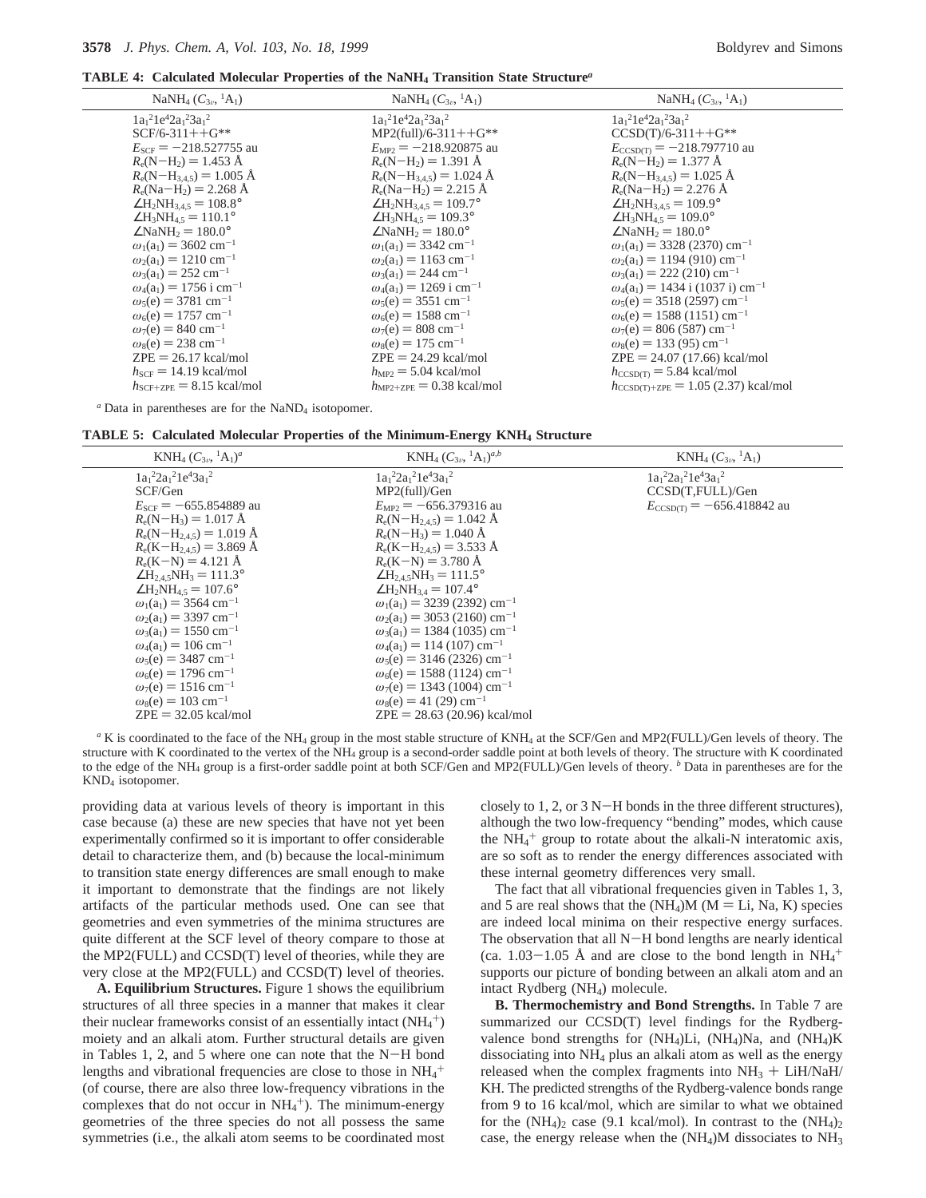**TABLE 4: Calculated Molecular Properties of the NaNH4 Transition State Structure***<sup>a</sup>*

| NaNH <sub>4</sub> $(C_{3v}, {}^{1}A_1)$      | NaNH <sub>4</sub> $(C_{3\nu}$ , <sup>1</sup> A <sub>1</sub> ) | NaNH <sub>4</sub> $(C_{3\nu}$ , <sup>1</sup> A <sub>1</sub> ) |
|----------------------------------------------|---------------------------------------------------------------|---------------------------------------------------------------|
| $1a_1{}^21e^42a_1{}^23a_1{}^2$               | $1a_1{}^21e^42a_1{}^23a_1{}^2$                                | $1a_1^21e^42a_1^23a_1^2$                                      |
| $SCF/6-311++G**$                             | $MP2$ (full)/6-311++G**                                       | $CCSD(T)/6-311++G**$                                          |
| $E_{SCF}$ = -218.527755 au                   | $E_{MP2} = -218.920875$ au                                    | $E_{\text{CCSD(T)}} = -218.797710$ au                         |
| $R_e(N-H_2) = 1.453 \text{ Å}$               | $R_e(N-H_2) = 1.391 \text{ Å}$                                | $R_e(N-H_2) = 1.377 \text{ Å}$                                |
| $R_e(N-H_{3,4,5}) = 1.005$ Å                 | $R_e(N-H_{3.4.5}) = 1.024$ Å                                  | $R_e(N-H_{3.4.5}) = 1.025 \text{ Å}$                          |
| $R_e(Na-H_2) = 2.268 \text{ Å}$              | $R_e(Na-H_2) = 2.215 \text{ Å}$                               | $R_e(Na-H_2) = 2.276 \text{ Å}$                               |
| $\angle H_2NH_{3.4.5} = 108.8^\circ$         | $\angle H_2NH_{3,4.5} = 109.7^\circ$                          | $\angle H_2NH_{3,4.5}=109.9^\circ$                            |
| $\angle H_3NH_4$ s = 110.1°                  | $\angle H_3NH_4$ <sub>5</sub> = 109.3°                        | $\angle H_3NH_4$ s = 109.0°                                   |
| $\angle$ NaNH <sub>2</sub> = 180.0°          | $\angle$ NaNH <sub>2</sub> = 180.0°                           | $\angle$ NaNH <sub>2</sub> = 180.0°                           |
| $\omega_1(a_1) = 3602$ cm <sup>-1</sup>      | $\omega_1(a_1) = 3342$ cm <sup>-1</sup>                       | $\omega_1(a_1) = 3328 (2370) \text{ cm}^{-1}$                 |
| $\omega_2(a_1) = 1210 \text{ cm}^{-1}$       | $\omega_2(a_1) = 1163$ cm <sup>-1</sup>                       | $\omega_2(a_1) = 1194 (910)$ cm <sup>-1</sup>                 |
| $\omega_3(a_1) = 252$ cm <sup>-1</sup>       | $\omega_3(a_1) = 244$ cm <sup>-1</sup>                        | $\omega_3(a_1) = 222$ (210) cm <sup>-1</sup>                  |
| $\omega_4(a_1) = 1756$ i cm <sup>-1</sup>    | $\omega_4(a_1) = 1269$ i cm <sup>-1</sup>                     | $\omega_4(a_1) = 1434$ i (1037 i) cm <sup>-1</sup>            |
| $\omega_5(e) = 3781$ cm <sup>-1</sup>        | $\omega_5(e) = 3551$ cm <sup>-1</sup>                         | $\omega_5(e) = 3518(2597)$ cm <sup>-1</sup>                   |
| $\omega_6(e) = 1757$ cm <sup>-1</sup>        | $\omega_6(e) = 1588$ cm <sup>-1</sup>                         | $\omega_6(e) = 1588(1151)$ cm <sup>-1</sup>                   |
| $\omega_7(e) = 840 \text{ cm}^{-1}$          | $\omega_7(e) = 808$ cm <sup>-1</sup>                          | $\omega_7(e) = 806(587)$ cm <sup>-1</sup>                     |
| $\omega_8(e) = 238$ cm <sup>-1</sup>         | $\omega_8(e) = 175$ cm <sup>-1</sup>                          | $\omega_8(e) = 133(95)$ cm <sup>-1</sup>                      |
| $ZPE = 26.17$ kcal/mol                       | $ZPE = 24.29$ kcal/mol                                        | $ZPE = 24.07 (17.66)$ kcal/mol                                |
| $h_{SCF}$ = 14.19 kcal/mol                   | $h_{\text{MP2}} = 5.04$ kcal/mol                              | $h_{\text{CCSD(T)}} = 5.84 \text{ kcal/mol}$                  |
| $h_{\text{SCF+ZPE}} = 8.15 \text{ kcal/mol}$ | $h_{\text{MP2+ZPE}} = 0.38 \text{ kcal/mol}$                  | $h_{\text{CCSD(T)}+ZPE}$ = 1.05 (2.37) kcal/mol               |
|                                              |                                                               |                                                               |

*a* Data in parentheses are for the NaND<sub>4</sub> isotopomer.

|  |  |  |  |  | TABLE 5: Calculated Molecular Properties of the Minimum-Energy KNH4 Structure |  |  |
|--|--|--|--|--|-------------------------------------------------------------------------------|--|--|
|--|--|--|--|--|-------------------------------------------------------------------------------|--|--|

| KNH <sub>4</sub> $(C_{3\nu}$ , <sup>1</sup> A <sub>1</sub> $)$ <sup>a</sup>                                                                                                                                                                                                                                                                                                                                                                                                                                                                                                                                                                                       | KNH <sub>4</sub> $(C_{3\nu}, {}^{1}A_1)^{a,b}$                                                                                                                                                                                                                                                                                                                                                                                                                                                                                                                                                                                                                                                                                         | $KNH_4(C_{3\nu}, {}^1A_1)$                                                     |
|-------------------------------------------------------------------------------------------------------------------------------------------------------------------------------------------------------------------------------------------------------------------------------------------------------------------------------------------------------------------------------------------------------------------------------------------------------------------------------------------------------------------------------------------------------------------------------------------------------------------------------------------------------------------|----------------------------------------------------------------------------------------------------------------------------------------------------------------------------------------------------------------------------------------------------------------------------------------------------------------------------------------------------------------------------------------------------------------------------------------------------------------------------------------------------------------------------------------------------------------------------------------------------------------------------------------------------------------------------------------------------------------------------------------|--------------------------------------------------------------------------------|
| $1a_1^22a_1^21e^43a_1^2$<br>SCF/Gen<br>$E_{SCF}$ = -655.854889 au<br>$R_e(N-H_3) = 1.017 \text{ Å}$<br>$R_e(N-H_{2,4.5}) = 1.019 \text{ Å}$<br>$R_e(K-H_{2.4.5}) = 3.869 \text{ Å}$<br>$R_e(K-N) = 4.121 \text{ Å}$<br>$\angle H_{2.45}NH_3 = 111.3^\circ$<br>$\angle H_2NH_4$ s = 107.6°<br>$\omega_1(a_1) = 3564$ cm <sup>-1</sup><br>$\omega_2(a_1) = 3397$ cm <sup>-1</sup><br>$\omega_3(a_1) = 1550$ cm <sup>-1</sup><br>$\omega_4(a_1) = 106$ cm <sup>-1</sup><br>$\omega_5(e) = 3487$ cm <sup>-1</sup><br>$\omega_6(e) = 1796$ cm <sup>-1</sup><br>$\omega_7(e) = 1516$ cm <sup>-1</sup><br>$\omega_s(e) = 103$ cm <sup>-1</sup><br>$ZPE = 32.05$ kcal/mol | $1a_1^22a_1^21e^43a_1^2$<br>$MP2$ (full)/Gen<br>$E_{MP2}$ = -656.379316 au<br>$R_e(N-H_{2.45}) = 1.042 \text{ Å}$<br>$R_e(N-H_3) = 1.040 \text{ Å}$<br>$R_e(K-H_{2.45}) = 3.533 \text{ Å}$<br>$R_e(K-N) = 3.780 \text{ Å}$<br>$\angle H_{2.4.5}NH_3 = 111.5^\circ$<br>$\angle H_2NH_{34} = 107.4^\circ$<br>$\omega_1(a_1) = 3239 (2392)$ cm <sup>-1</sup><br>$\omega_2(a_1) = 3053(2160)$ cm <sup>-1</sup><br>$\omega_3(a_1) = 1384$ (1035) cm <sup>-1</sup><br>$\omega_4(a_1) = 114 (107) \text{ cm}^{-1}$<br>$\omega_5(e) = 3146(2326)$ cm <sup>-1</sup><br>$\omega_6(e) = 1588 (1124) \text{ cm}^{-1}$<br>$\omega_7(e) = 1343$ (1004) cm <sup>-1</sup><br>$\omega_s(e) = 41(29)$ cm <sup>-1</sup><br>$ZPE = 28.63 (20.96)$ kcal/mol | $1a_1^22a_1^21e^43a_1^2$<br>CCSD(T,FULL)/Gen<br>$E_{CCSD(T)} = -656.418842$ au |
|                                                                                                                                                                                                                                                                                                                                                                                                                                                                                                                                                                                                                                                                   |                                                                                                                                                                                                                                                                                                                                                                                                                                                                                                                                                                                                                                                                                                                                        |                                                                                |

*<sup>a</sup>* K is coordinated to the face of the NH4 group in the most stable structure of KNH4 at the SCF/Gen and MP2(FULL)/Gen levels of theory. The structure with K coordinated to the vertex of the NH4 group is a second-order saddle point at both levels of theory. The structure with K coordinated to the edge of the NH<sub>4</sub> group is a first-order saddle point at both SCF/Gen and MP2(FULL)/Gen levels of theory. <sup>*b*</sup> Data in parentheses are for the KND4 isotopomer.

providing data at various levels of theory is important in this case because (a) these are new species that have not yet been experimentally confirmed so it is important to offer considerable detail to characterize them, and (b) because the local-minimum to transition state energy differences are small enough to make it important to demonstrate that the findings are not likely artifacts of the particular methods used. One can see that geometries and even symmetries of the minima structures are quite different at the SCF level of theory compare to those at the MP2(FULL) and CCSD(T) level of theories, while they are very close at the MP2(FULL) and CCSD(T) level of theories.

**A. Equilibrium Structures.** Figure 1 shows the equilibrium structures of all three species in a manner that makes it clear their nuclear frameworks consist of an essentially intact  $(NH_4^+)$ moiety and an alkali atom. Further structural details are given in Tables 1, 2, and 5 where one can note that the N-H bond lengths and vibrational frequencies are close to those in  $NH_4$ <sup>+</sup> (of course, there are also three low-frequency vibrations in the complexes that do not occur in  $NH_4^+$ ). The minimum-energy geometries of the three species do not all possess the same symmetries (i.e., the alkali atom seems to be coordinated most

closely to  $1, 2$ , or  $3 N-H$  bonds in the three different structures), although the two low-frequency "bending" modes, which cause the  $NH_4$ <sup>+</sup> group to rotate about the alkali-N interatomic axis, are so soft as to render the energy differences associated with these internal geometry differences very small.

The fact that all vibrational frequencies given in Tables 1, 3, and 5 are real shows that the  $(NH<sub>4</sub>)M (M = Li, Na, K)$  species are indeed local minima on their respective energy surfaces. The observation that all N-H bond lengths are nearly identical  $\frac{(ca. 1.03-1.05 \text{ Å})}{(ca. 1.03-1.05 \text{ Å})}$  and are close to the bond length in NH<sub>4</sub><sup>+</sup> supports our picture of bonding between an alkali atom and an intact Rydberg (NH4) molecule.

**B. Thermochemistry and Bond Strengths.** In Table 7 are summarized our CCSD(T) level findings for the Rydbergvalence bond strengths for (NH<sub>4</sub>)Li, (NH<sub>4</sub>)Na, and (NH<sub>4</sub>)K dissociating into NH4 plus an alkali atom as well as the energy released when the complex fragments into  $NH<sub>3</sub> + LiH/NaH/$ KH. The predicted strengths of the Rydberg-valence bonds range from 9 to 16 kcal/mol, which are similar to what we obtained for the  $(NH_4)_2$  case (9.1 kcal/mol). In contrast to the  $(NH_4)_2$ case, the energy release when the  $(NH<sub>4</sub>)M$  dissociates to  $NH<sub>3</sub>$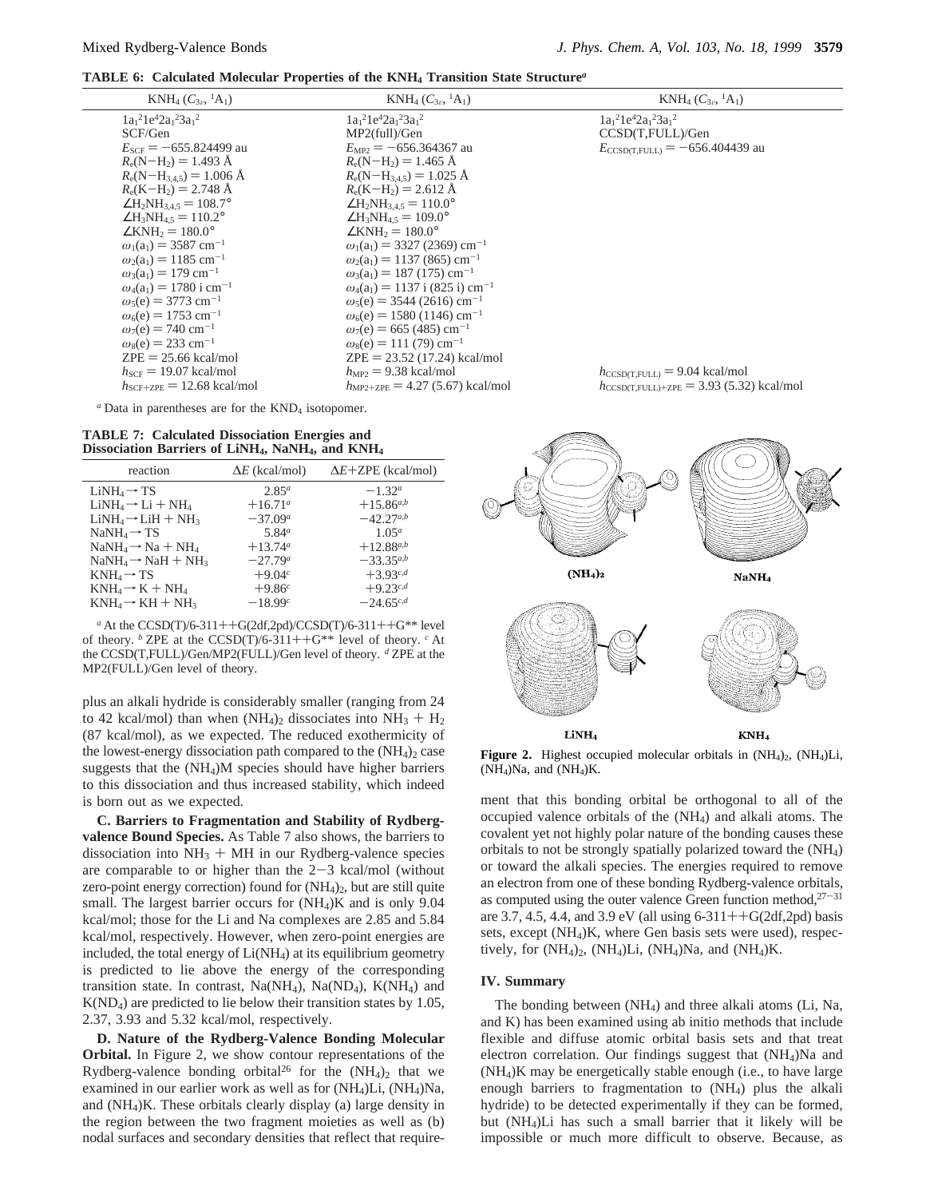**TABLE 6: Calculated Molecular Properties of the KNH4 Transition State Structure***<sup>a</sup>*

| $KNH_4(C_{3\nu}, {}^1A_1)$                    | $KNH_4(C_{3\nu}, {}^1A_1)$                        | $KNH_4(C_{3v}, {}^1A_1)$                                      |
|-----------------------------------------------|---------------------------------------------------|---------------------------------------------------------------|
| $1a_1{}^21e^42a_1{}^23a_1{}^2$                | $1a_1^21e^42a_1^23a_1^2$                          | $1a_1{}^21e^42a_1{}^23a_1{}^2$                                |
| SCF/Gen                                       | MP2(full)/Gen                                     | CCSD(T,FULL)/Gen                                              |
| $E_{SCF}$ = -655.824499 au                    | $E_{MP2} = -656.364367$ au                        | $E_{\text{CCSD(T. FULL)}} = -656.404439$ au                   |
| $R_e(N-H_2) = 1.493 \text{ Å}$                | $R_e(N-H_2) = 1.465$ Å                            |                                                               |
| $R_e(N-H_{3.4.5}) = 1.006$ Å                  | $R_e(N-H_{3.4.5}) = 1.025 \text{ Å}$              |                                                               |
| $R_e(K-H_2) = 2.748 \text{ Å}$                | $R_e(K-H_2) = 2.612 \text{ Å}$                    |                                                               |
| $\angle H_2NH_{3.4.5}=108.7^\circ$            | $\angle H_2NH_{3,4.5} = 110.0^\circ$              |                                                               |
| $\angle H_3NH_{4.5} = 110.2^\circ$            | $\angle H_3NH_{4.5} = 109.0^\circ$                |                                                               |
| $\angle$ KNH <sub>2</sub> = 180.0°            | $\angle$ KNH <sub>2</sub> = 180.0°                |                                                               |
| $\omega_1(a_1) = 3587$ cm <sup>-1</sup>       | $\omega_1(a_1) = 3327 (2369)$ cm <sup>-1</sup>    |                                                               |
| $\omega_2(a_1) = 1185$ cm <sup>-1</sup>       | $\omega_2(a_1) = 1137(865)$ cm <sup>-1</sup>      |                                                               |
| $\omega_3(a_1) = 179$ cm <sup>-1</sup>        | $\omega_3(a_1) = 187 (175) \text{ cm}^{-1}$       |                                                               |
| $\omega_4(a_1) = 1780$ i cm <sup>-1</sup>     | $\omega_4(a_1) = 1137$ i (825 i) cm <sup>-1</sup> |                                                               |
| $\omega_5(e) = 3773$ cm <sup>-1</sup>         | $\omega_5(e) = 3544 (2616)$ cm <sup>-1</sup>      |                                                               |
| $\omega_6(e) = 1753$ cm <sup>-1</sup>         | $\omega_6(e) = 1580 (1146) \text{ cm}^{-1}$       |                                                               |
| $\omega_7(e) = 740$ cm <sup>-1</sup>          | $\omega_7(e)$ = 665 (485) cm <sup>-1</sup>        |                                                               |
| $\omega_8(e) = 233$ cm <sup>-1</sup>          | $\omega_8(e) = 111(79)$ cm <sup>-1</sup>          |                                                               |
| $ZPE = 25.66$ kcal/mol                        | $ZPE = 23.52$ (17.24) kcal/mol                    |                                                               |
| $h_{SCF}$ = 19.07 kcal/mol                    | $h_{\text{MP2}} = 9.38 \text{ kcal/mol}$          | $h_{\text{CCSD(T, FULL)}} = 9.04 \text{ kcal/mol}$            |
| $h_{\text{SCF+ZPE}} = 12.68 \text{ kcal/mol}$ | $h_{MP2+ZPE}$ = 4.27 (5.67) kcal/mol              | $h_{\text{CCSD(T, FULL)+ZPE}} = 3.93 (5.32) \text{ kcal/mol}$ |
|                                               |                                                   |                                                               |

*a* Data in parentheses are for the KND<sub>4</sub> isotopomer.

**TABLE 7: Calculated Dissociation Energies and Dissociation Barriers of LiNH4, NaNH4, and KNH4**

| reaction                        | $\Delta E$ (kcal/mol) | $\Delta E + \text{ZPE}$ (kcal/mol) |
|---------------------------------|-----------------------|------------------------------------|
| $LiNH4\rightarrow TS$           | $2.85^{a}$            | $-1.32^{a}$                        |
| $LiNH_4 \rightarrow Li + NH_4$  | $+16.71^a$            | $+15.86^{a,b}$                     |
| $LiNH_4 \rightarrow LiH + NH_3$ | $-37.09^a$            | $-42.27^{a,b}$                     |
| $NaNH4\rightarrow TS$           | 5.84 <sup>a</sup>     | $1.05^a$                           |
| $NaNH_4 \rightarrow Na + NH_4$  | $+13.74^{\circ}$      | $+12.88^{a,b}$                     |
| $NaNH_4 \rightarrow NaH + NH_3$ | $-27.79^a$            | $-33.35^{a,b}$                     |
| $KNH_4 \rightarrow TS$          | $+9.04c$              | $+3.93^{c,d}$                      |
| $KNH_4 \rightarrow K + NH_4$    | $+9.86c$              | $+9.23^{c,d}$                      |
| $KNH_4 \rightarrow KH + NH_3$   | $-18.99c$             | $-24.65^{c,d}$                     |
|                                 |                       |                                    |

*<sup>a</sup>* At the CCSD(T)/6-311++G(2df,2pd)/CCSD(T)/6-311++G\*\* level of theory. <sup>*b*</sup> ZPE at the CCSD(T)/6-311++G<sup>\*\*</sup> level of theory. <sup>*c*</sup> At the CCSD(T,FULL)/Gen/MP2(FULL)/Gen level of theory. *<sup>d</sup>* ZPE at the MP2(FULL)/Gen level of theory.

plus an alkali hydride is considerably smaller (ranging from 24 to 42 kcal/mol) than when  $(NH_4)$  dissociates into  $NH_3 + H_2$ (87 kcal/mol), as we expected. The reduced exothermicity of the lowest-energy dissociation path compared to the  $(NH<sub>4</sub>)<sub>2</sub>$  case suggests that the (NH4)M species should have higher barriers to this dissociation and thus increased stability, which indeed is born out as we expected.

**C. Barriers to Fragmentation and Stability of Rydbergvalence Bound Species.** As Table 7 also shows, the barriers to dissociation into  $NH<sub>3</sub> + MH$  in our Rydberg-valence species are comparable to or higher than the  $2-3$  kcal/mol (without zero-point energy correction) found for (NH<sub>4</sub>)<sub>2</sub>, but are still quite small. The largest barrier occurs for  $(NH<sub>4</sub>)K$  and is only 9.04 kcal/mol; those for the Li and Na complexes are 2.85 and 5.84 kcal/mol, respectively. However, when zero-point energies are included, the total energy of Li(NH4) at its equilibrium geometry is predicted to lie above the energy of the corresponding transition state. In contrast,  $Na(NH_4)$ ,  $Na(ND_4)$ ,  $K(NH_4)$  and  $K(ND<sub>4</sub>)$  are predicted to lie below their transition states by 1.05, 2.37, 3.93 and 5.32 kcal/mol, respectively.

**D. Nature of the Rydberg-Valence Bonding Molecular Orbital.** In Figure 2, we show contour representations of the Rydberg-valence bonding orbital<sup>26</sup> for the  $(NH_4)_2$  that we examined in our earlier work as well as for (NH4)Li, (NH4)Na, and (NH4)K. These orbitals clearly display (a) large density in the region between the two fragment moieties as well as (b) nodal surfaces and secondary densities that reflect that require-



**Figure 2.** Highest occupied molecular orbitals in  $(NH_4)$ <sub>2</sub>,  $(NH_4)$ Li,  $(NH_4)Na$ , and  $(NH_4)K$ .

ment that this bonding orbital be orthogonal to all of the occupied valence orbitals of the (NH4) and alkali atoms. The covalent yet not highly polar nature of the bonding causes these orbitals to not be strongly spatially polarized toward the (NH4) or toward the alkali species. The energies required to remove an electron from one of these bonding Rydberg-valence orbitals, as computed using the outer valence Green function method, $27-31$ are 3.7, 4.5, 4.4, and 3.9 eV (all using  $6-311++G(2df,2pd)$  basis sets, except (NH4)K, where Gen basis sets were used), respectively, for  $(NH_4)_2$ ,  $(NH_4)Li$ ,  $(NH_4)Na$ , and  $(NH_4)K$ .

#### **IV. Summary**

The bonding between (NH4) and three alkali atoms (Li, Na, and K) has been examined using ab initio methods that include flexible and diffuse atomic orbital basis sets and that treat electron correlation. Our findings suggest that (NH4)Na and (NH4)K may be energetically stable enough (i.e., to have large enough barriers to fragmentation to (NH4) plus the alkali hydride) to be detected experimentally if they can be formed, but (NH4)Li has such a small barrier that it likely will be impossible or much more difficult to observe. Because, as